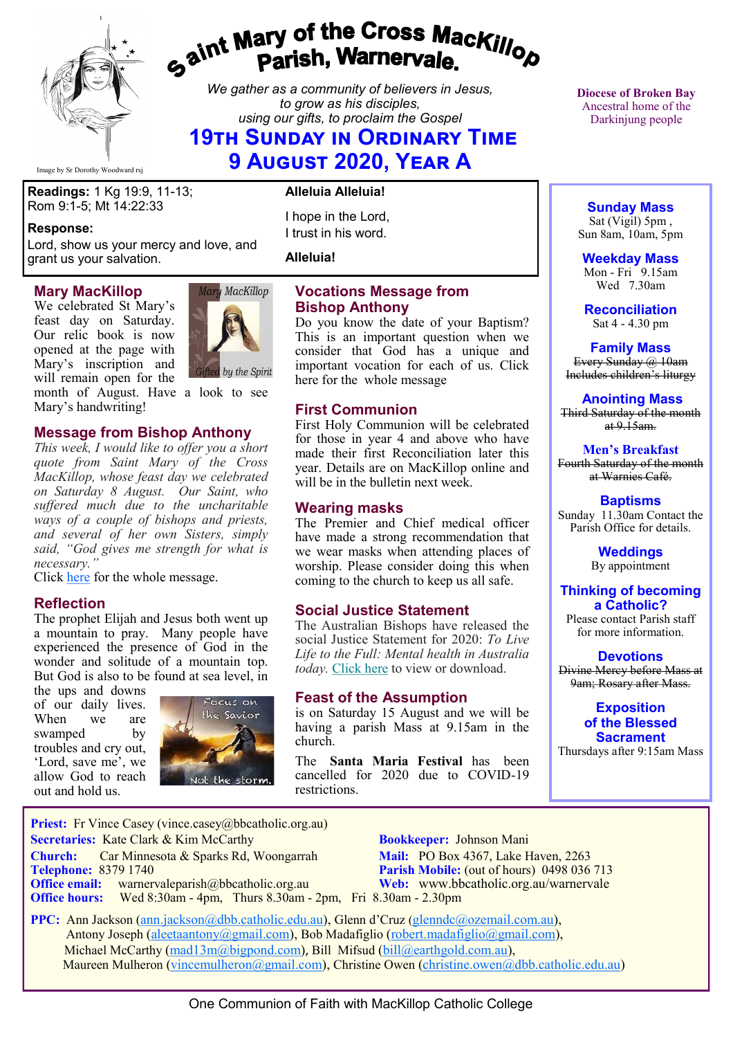

# *Gaint Mary of the Cross MacKillop*<br>*Gaint* **Parish, Warnervale.**

*We gather as a community of believers in Jesus, to grow as his disciples, using our gifts, to proclaim the Gospel*

## **19th Sunday in Ordinary Time 9 August 2020, Year A**

Image by Sr Dorothy Woodward rsj

**Readings:** 1 Kg 19:9, 11-13; Rom 9:1-5; Mt 14:22:33

#### **Response:**

Lord, show us your mercy and love, and grant us your salvation.

#### **Mary MacKillop**

We celebrated St Mary's feast day on Saturday. Our relic book is now opened at the page with Mary's inscription and will remain open for the



month of August. Have a look to see Mary's handwriting!

## **Message from Bishop Anthony**

*This week, I would like to offer you a short quote from Saint Mary of the Cross MacKillop, whose feast day we celebrated on Saturday 8 August. Our Saint, who suffered much due to the uncharitable ways of a couple of bishops and priests, and several of her own Sisters, simply said, "God gives me strength for what is necessary."*

Click [here](https://bbcatholic.us8.list-manage.com/track/click?u=466af249e088db70ab864d088&id=61e76f9c0f&e=082a8c9b01) for the whole message.

#### **Reflection**

The prophet Elijah and Jesus both went up a mountain to pray. Many people have experienced the presence of God in the wonder and solitude of a mountain top. But God is also to be found at sea level, in

the ups and downs of our daily lives. When we are swamped by troubles and cry out, 'Lord, save me', we allow God to reach out and hold us.



#### **Alleluia Alleluia!**

I hope in the Lord, I trust in his word.

**Alleluia!**

#### **Vocations Message from Bishop Anthony**

Do you know the date of your Baptism? This is an important question when we consider that God has a unique and important vocation for each of us. Click here for the whole message

#### **First Communion**

First Holy Communion will be celebrated for those in year 4 and above who have made their first Reconciliation later this year. Details are on MacKillop online and will be in the bulletin next week.

#### **Wearing masks**

The Premier and Chief medical officer have made a strong recommendation that we wear masks when attending places of worship. Please consider doing this when coming to the church to keep us all safe.

#### **Social Justice Statement**

The Australian Bishops have released the social Justice Statement for 2020: *To Live Life to the Full: Mental health in Australia today.* [Click here](https://bbcatholic.us8.list-manage.com/track/click?u=466af249e088db70ab864d088&id=48ff8aad79&e=082a8c9b01) to view or download.

#### **Feast of the Assumption**

is on Saturday 15 August and we will be having a parish Mass at 9.15am in the church.

The **Santa Maria Festival** has been cancelled for 2020 due to COVID-19 restrictions.

**Diocese of Broken Bay**  Ancestral home of the Darkinjung people

#### **Sunday Mass**

Sat (Vigil) 5pm , Sun 8am, 10am, 5pm

**Weekday Mass** Mon - Fri 9.15am Wed 7.30am

**Reconciliation** Sat 4 - 4.30 pm

**Family Mass**  Every Sunday @ 10am Includes children's liturgy

**Anointing Mass** Third Saturday of the month  $at 9.15am.$ 

**Men's Breakfast** Fourth Saturday of the month at Warnies Café.

**Baptisms** Sunday 11.30am Contact the Parish Office for details.

> **Weddings**  By appointment

#### **Thinking of becoming a Catholic?**

Please contact Parish staff for more information.

**Devotions** Divine Mercy before Mass at 9am; Rosary after Mass.

> **Exposition of the Blessed Sacrament**

Thursdays after 9:15am Mass

**Priest:** Fr Vince Casey (vince.casey@bbcatholic.org.au)  **Secretaries:** Kate Clark & Kim McCarthy **Bookkeeper:** Johnson Mani **Church:** Car Minnesota & Sparks Rd, Woongarrah **Mail:** PO Box 4367, Lake Haven, 2263<br> **Telephone:** 8379 1740 **Parish Mobile:** (out of hours) 0498 036 **Office email:** warnervaleparish@bbcatholic.org.au **Web:** [www.bbcatholic.org.au/warnervale](https://www.bbcatholic.org.au/warnervale) **Office hours:** Wed 8:30am - 4pm, Thurs 8.30am - 2pm, Fri 8.30am - 2.30pm

**Parish Mobile:** (out of hours) 0498 036 713

 **PPC:** Ann Jackson ([ann.jackson@dbb.catholic.edu.au\),](mailto:ann.jackson@dbb.catholic.edu.au) Glenn d'Cruz ([glenndc@ozemail.com.au\)](mailto:glenndc@ozemail.com.au), Antony Joseph ([aleetaantony@gmail.com\),](mailto:aleetaantony@gmail.com) Bob Madafiglio [\(robert.madafiglio@gmail.com\),](mailto:robert.madafiglio@gmail.com) Michael McCarthy ([mad13m@bigpond.com\)](mailto:mad13m@bigpond.com), Bill Mifsud ([bill@earthgold.com.au\),](mailto:bill@earthgold.com.au) Maureen Mulheron ([vincemulheron@gmail.com\)](mailto:vincemulheron@gmail.com), Christine Owen (christine.owen[@dbb.catholic.edu.au\)](mailto:ann.jackson@dbb.catholic.edu.au)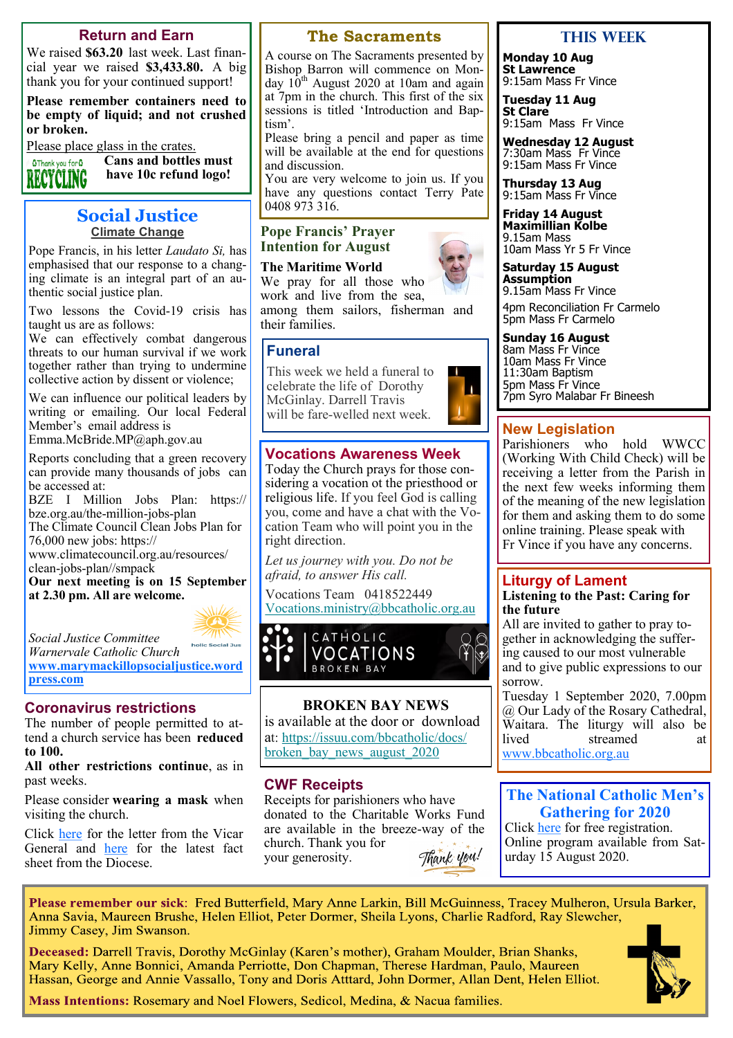#### **Return and Earn**

We raised **\$63.20** last week. Last financial year we raised **\$3,433.80.** A big thank you for your continued support!

**Please remember containers need to be empty of liquid; and not crushed or broken.** 

Please place glass in the crates.

**Cans and bottles must**  OThank you for O **have 10c refund logo!** RECYCLING

#### **Social Justice Climate Change**

Pope Francis, in his letter *Laudato Si,* has emphasised that our response to a changing climate is an integral part of an authentic social justice plan.

Two lessons the Covid-19 crisis has taught us are as follows:

We can effectively combat dangerous threats to our human survival if we work together rather than trying to undermine collective action by dissent or violence;

We can influence our political leaders by writing or emailing. Our local Federal Member's email address is Emma.McBride.MP@aph.gov.au

Reports concluding that a green recovery can provide many thousands of jobs can be accessed at:

BZE I Million Jobs Plan: https:// bze.org.au/the-million-jobs-plan

The Climate Council Clean Jobs Plan for 76,000 new jobs: https://

www.climatecouncil.org.au/resources/ clean-jobs-plan//smpack

**Our next meeting is on 15 September at 2.30 pm. All are welcome.**



*Social Justice Committee Warnervale Catholic Church*

**[www.marymackillopsocialjustice.word](http://www.marymackillopsocialjustice.wordpress.com) [press.com](http://www.marymackillopsocialjustice.wordpress.com)**

#### **Coronavirus restrictions**

The number of people permitted to attend a church service has been **reduced to 100.**

**All other restrictions continue**, as in past weeks.

Please consider **wearing a mask** when visiting the church.

Click [here](https://bbcatholic.us8.list-manage.com/track/click?u=466af249e088db70ab864d088&id=d83b7dab6b&e=082a8c9b01) for the letter from the Vicar General and **[here](https://bbcatholic.us8.list-manage.com/track/click?u=466af249e088db70ab864d088&id=27ad78a1d8&e=082a8c9b01)** for the latest fact sheet from the Diocese.

#### **The Sacraments**

A course on The Sacraments presented by Bishop Barron will commence on Monday  $10^{th}$  August 2020 at 10am and again at 7pm in the church. This first of the six sessions is titled 'Introduction and Baptism'.

Please bring a pencil and paper as time will be available at the end for questions and discussion.

You are very welcome to join us. If you have any questions contact Terry Pate 0408 973 316.

**Pope Francis' Prayer Intention for August**

**The Maritime World** We pray for all those who work and live from the sea, among them sailors, fisherman and their families.

#### **Funeral**

This week we held a funeral to celebrate the life of Dorothy McGinlay. Darrell Travis will be fare-welled next week.



## **Vocations Awareness Week**

Today the Church prays for those considering a vocation ot the priesthood or religious life. If you feel God is calling you, come and have a chat with the Vocation Team who will point you in the right direction.

*Let us journey with you. Do not be afraid, to answer His call.*

Vocations Team 0418522449 [Vocations.ministry@bbcatholic.org.au](mailto:Vocations.ministry@bbcatholic.org.au)



#### **BROKEN BAY NEWS**

is available at the door or download at: [https://issuu.com/bbcatholic/docs/](https://bbcatholic.us8.list-manage.com/track/click?u=466af249e088db70ab864d088&id=721bb96203&e=082a8c9b01) broken bay news august 2020

#### **CWF Receipts**

Receipts for parishioners who have donated to the Charitable Works Fund are available in the breeze-way of the church. Thank you for Thank you! your generosity.

#### **This week**

**Monday 10 Aug St Lawrence** 9:15am Mass Fr Vince

**Tuesday 11 Aug St Clare** 9:15am Mass Fr Vince

**Wednesday 12 August** 7:30am Mass Fr Vince 9:15am Mass Fr Vince

**Thursday 13 Aug**  9:15am Mass Fr Vince

**Friday 14 August Maximillian Kolbe** 9.15am Mass 10am Mass Yr 5 Fr Vince

**Saturday 15 August Assumption** 9.15am Mass Fr Vince

4pm Reconciliation Fr Carmelo 5pm Mass Fr Carmelo

#### **Sunday 16 August**

8am Mass Fr Vince 10am Mass Fr Vince 11:30am Baptism 5pm Mass Fr Vince 7pm Syro Malabar Fr Bineesh

#### **New Legislation**

Parishioners who hold WWCC (Working With Child Check) will be receiving a letter from the Parish in the next few weeks informing them of the meaning of the new legislation for them and asking them to do some online training. Please speak with Fr Vince if you have any concerns.

#### **Liturgy of Lament Listening to the Past: Caring for**

**the future**

All are invited to gather to pray together in acknowledging the suffering caused to our most vulnerable and to give public expressions to our sorrow.

Tuesday 1 September 2020, 7.00pm @ Our Lady of the Rosary Cathedral, Waitara. The liturgy will also be<br>lived streamed at streamed at [www.bbcatholic.org.au](https://bbcatholic.us8.list-manage.com/track/click?u=466af249e088db70ab864d088&id=c772d1e95e&e=082a8c9b01)

#### **The National Catholic Men's Gathering for 2020**

Click [here](Registration will%20be%20free%20and%20will%20be%20available%20from Monday%2029th%20June) for free registration. Online program available from Saturday 15 August 2020.

Please remember our sick: Fred Butterfield, Mary Anne Larkin, Bill McGuinness, Tracey Mulheron, Ursula Barker, Anna Savia, Maureen Brushe, Helen Elliot, Peter Dormer, Sheila Lyons, Charlie Radford, Ray Slewcher, Jimmy Casey, Jim Swanson.

Deceased: Darrell Travis, Dorothy McGinlay (Karen's mother), Graham Moulder, Brian Shanks, Mary Kelly, Anne Bonnici, Amanda Perriotte, Don Chapman, Therese Hardman, Paulo, Maureen Hassan, George and Annie Vassallo, Tony and Doris Atttard, John Dormer, Allan Dent, Helen Elliot.



Mass Intentions: Rosemary and Noel Flowers, Sedicol, Medina, & Nacua families.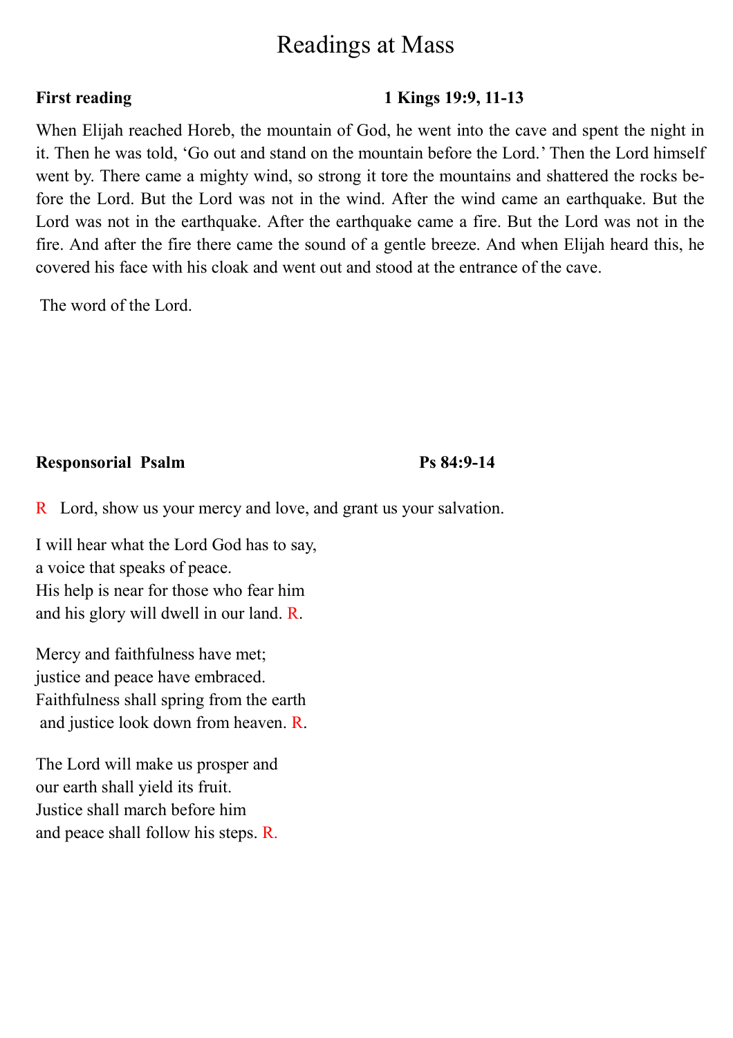# Readings at Mass

## **First reading 1 Kings 19:9, 11-13**

When Elijah reached Horeb, the mountain of God, he went into the cave and spent the night in it. Then he was told, 'Go out and stand on the mountain before the Lord.' Then the Lord himself went by. There came a mighty wind, so strong it tore the mountains and shattered the rocks before the Lord. But the Lord was not in the wind. After the wind came an earthquake. But the Lord was not in the earthquake. After the earthquake came a fire. But the Lord was not in the fire. And after the fire there came the sound of a gentle breeze. And when Elijah heard this, he covered his face with his cloak and went out and stood at the entrance of the cave.

The word of the Lord.

#### **Responsorial Psalm Ps 84:9-14**

R Lord, show us your mercy and love, and grant us your salvation.

I will hear what the Lord God has to say, a voice that speaks of peace. His help is near for those who fear him and his glory will dwell in our land. R.

Mercy and faithfulness have met; justice and peace have embraced. Faithfulness shall spring from the earth and justice look down from heaven. R.

The Lord will make us prosper and our earth shall yield its fruit. Justice shall march before him and peace shall follow his steps. R.